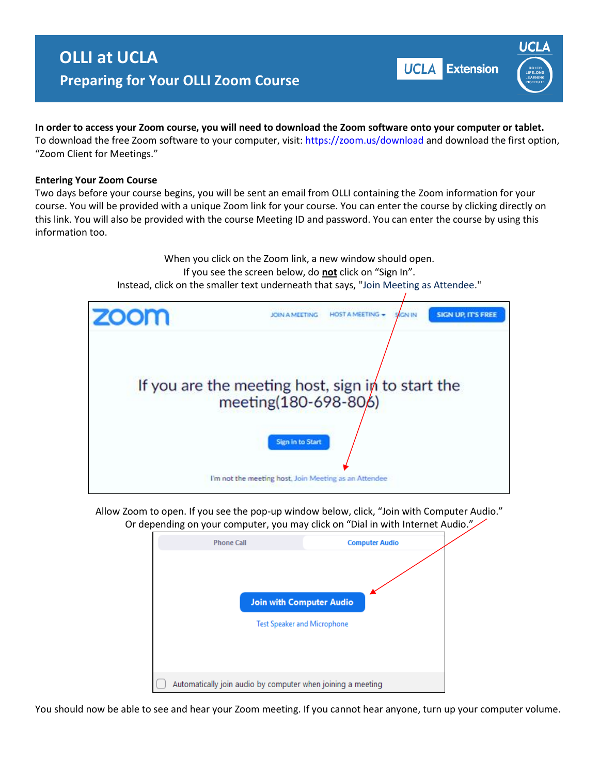## **OLLI at UCLA Preparing for Your OLLI Zoom Course**

**UCLA** Extension



**In order to access your Zoom course, you will need to download the Zoom software onto your computer or tablet.**  To download the free Zoom software to your computer, visit: https://zoom.us/download and download the first option, "Zoom Client for Meetings."

## **Entering Your Zoom Course**

Two days before your course begins, you will be sent an email from OLLI containing the Zoom information for your course. You will be provided with a unique Zoom link for your course. You can enter the course by clicking directly on this link. You will also be provided with the course Meeting ID and password. You can enter the course by using this information too.

> When you click on the Zoom link, a new window should open. If you see the screen below, do **not** click on "Sign In". Instead, click on the smaller text underneath that says, "Join Meeting as Attendee."



Allow Zoom to open. If you see the pop-up window below, click, "Join with Computer Audio." Or depending on your computer, you may click on "Dial in with Internet Audio."



You should now be able to see and hear your Zoom meeting. If you cannot hear anyone, turn up your computer volume.